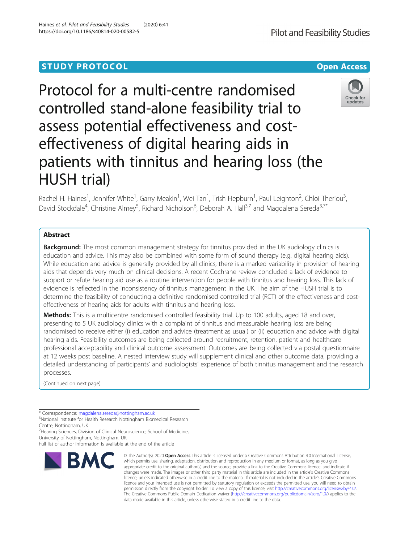# **STUDY PROTOCOL CONSUMING THE CONSUMING OPEN ACCESS**

Protocol for a multi-centre randomised controlled stand-alone feasibility trial to assess potential effectiveness and costeffectiveness of digital hearing aids in patients with tinnitus and hearing loss (the HUSH trial)

Rachel H. Haines<sup>1</sup>, Jennifer White<sup>1</sup>, Garry Meakin<sup>1</sup>, Wei Tan<sup>1</sup>, Trish Hepburn<sup>1</sup>, Paul Leighton<sup>2</sup>, Chloi Theriou<sup>3</sup> , David Stockdale<sup>4</sup>, Christine Almey<sup>5</sup>, Richard Nicholson<sup>6</sup>, Deborah A. Hall<sup>3,7</sup> and Magdalena Sereda<sup>3,7\*</sup>

# Abstract

**Background:** The most common management strategy for tinnitus provided in the UK audiology clinics is education and advice. This may also be combined with some form of sound therapy (e.g. digital hearing aids). While education and advice is generally provided by all clinics, there is a marked variability in provision of hearing aids that depends very much on clinical decisions. A recent Cochrane review concluded a lack of evidence to support or refute hearing aid use as a routine intervention for people with tinnitus and hearing loss. This lack of evidence is reflected in the inconsistency of tinnitus management in the UK. The aim of the HUSH trial is to determine the feasibility of conducting a definitive randomised controlled trial (RCT) of the effectiveness and costeffectiveness of hearing aids for adults with tinnitus and hearing loss.

Methods: This is a multicentre randomised controlled feasibility trial. Up to 100 adults, aged 18 and over, presenting to 5 UK audiology clinics with a complaint of tinnitus and measurable hearing loss are being randomised to receive either (i) education and advice (treatment as usual) or (ii) education and advice with digital hearing aids. Feasibility outcomes are being collected around recruitment, retention, patient and healthcare professional acceptability and clinical outcome assessment. Outcomes are being collected via postal questionnaire at 12 weeks post baseline. A nested interview study will supplement clinical and other outcome data, providing a detailed understanding of participants' and audiologists' experience of both tinnitus management and the research processes.

(Continued on next page)

<sup>3</sup>National Institute for Health Research Nottingham Biomedical Research Centre, Nottingham, UK

<sup>7</sup> Hearing Sciences, Division of Clinical Neuroscience, School of Medicine,

University of Nottingham, Nottingham, UK



© The Author(s), 2020 **Open Access** This article is licensed under a Creative Commons Attribution 4.0 International License,





<sup>\*</sup> Correspondence: [magdalena.sereda@nottingham.ac.uk](mailto:magdalena.sereda@nottingham.ac.uk) <sup>3</sup>

Full list of author information is available at the end of the article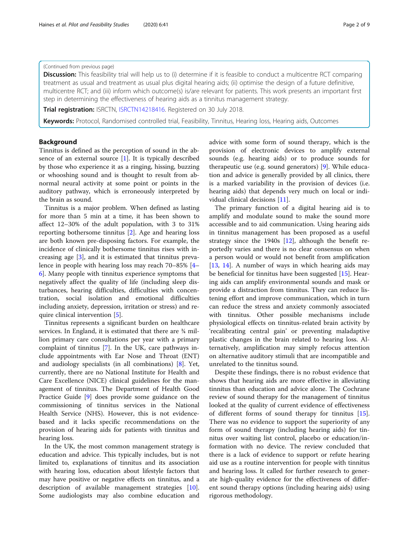## (Continued from previous page)

**Discussion:** This feasibility trial will help us to (i) determine if it is feasible to conduct a multicentre RCT comparing treatment as usual and treatment as usual plus digital hearing aids; (ii) optimise the design of a future definitive, multicentre RCT; and (iii) inform which outcome(s) is/are relevant for patients. This work presents an important first step in determining the effectiveness of hearing aids as a tinnitus management strategy.

Trial registration: ISRCTN, [ISRCTN14218416](http://www.isrctn.com/ISRCTN14218416). Registered on 30 July 2018.

Keywords: Protocol, Randomised controlled trial, Feasibility, Tinnitus, Hearing loss, Hearing aids, Outcomes

# Background

Tinnitus is defined as the perception of sound in the absence of an external source  $[1]$  $[1]$ . It is typically described by those who experience it as a ringing, hissing, buzzing or whooshing sound and is thought to result from abnormal neural activity at some point or points in the auditory pathway, which is erroneously interpreted by the brain as sound.

Tinnitus is a major problem. When defined as lasting for more than 5 min at a time, it has been shown to affect 12–30% of the adult population, with 3 to 31% reporting bothersome tinnitus [[2\]](#page-8-0). Age and hearing loss are both known pre-disposing factors. For example, the incidence of clinically bothersome tinnitus rises with increasing age [\[3](#page-8-0)], and it is estimated that tinnitus prevalence in people with hearing loss may reach 70–85% [[4](#page-8-0)– [6\]](#page-8-0). Many people with tinnitus experience symptoms that negatively affect the quality of life (including sleep disturbances, hearing difficulties, difficulties with concentration, social isolation and emotional difficulties including anxiety, depression, irritation or stress) and require clinical intervention [\[5](#page-8-0)].

Tinnitus represents a significant burden on healthcare services. In England, it is estimated that there are ¾ million primary care consultations per year with a primary complaint of tinnitus [\[7](#page-8-0)]. In the UK, care pathways include appointments with Ear Nose and Throat (ENT) and audiology specialists (in all combinations) [\[8](#page-8-0)]. Yet, currently, there are no National Institute for Health and Care Excellence (NICE) clinical guidelines for the management of tinnitus. The Department of Health Good Practice Guide [[9\]](#page-8-0) does provide some guidance on the commissioning of tinnitus services in the National Health Service (NHS). However, this is not evidencebased and it lacks specific recommendations on the provision of hearing aids for patients with tinnitus and hearing loss.

In the UK, the most common management strategy is education and advice. This typically includes, but is not limited to, explanations of tinnitus and its association with hearing loss, education about lifestyle factors that may have positive or negative effects on tinnitus, and a description of available management strategies [\[10](#page-8-0)]. Some audiologists may also combine education and advice with some form of sound therapy, which is the provision of electronic devices to amplify external sounds (e.g. hearing aids) or to produce sounds for therapeutic use (e.g. sound generators) [\[9](#page-8-0)]. While education and advice is generally provided by all clinics, there is a marked variability in the provision of devices (i.e. hearing aids) that depends very much on local or individual clinical decisions [\[11](#page-8-0)].

The primary function of a digital hearing aid is to amplify and modulate sound to make the sound more accessible and to aid communication. Using hearing aids in tinnitus management has been proposed as a useful strategy since the 1940s  $[12]$  $[12]$ , although the benefit reportedly varies and there is no clear consensus on when a person would or would not benefit from amplification [[13,](#page-8-0) [14\]](#page-8-0). A number of ways in which hearing aids may be beneficial for tinnitus have been suggested [[15\]](#page-8-0). Hearing aids can amplify environmental sounds and mask or provide a distraction from tinnitus. They can reduce listening effort and improve communication, which in turn can reduce the stress and anxiety commonly associated with tinnitus. Other possible mechanisms include physiological effects on tinnitus-related brain activity by 'recalibrating central gain' or preventing maladaptive plastic changes in the brain related to hearing loss. Alternatively, amplification may simply refocus attention on alternative auditory stimuli that are incompatible and unrelated to the tinnitus sound.

Despite these findings, there is no robust evidence that shows that hearing aids are more effective in alleviating tinnitus than education and advice alone. The Cochrane review of sound therapy for the management of tinnitus looked at the quality of current evidence of effectiveness of different forms of sound therapy for tinnitus [\[15](#page-8-0)]. There was no evidence to support the superiority of any form of sound therapy (including hearing aids) for tinnitus over waiting list control, placebo or education/information with no device. The review concluded that there is a lack of evidence to support or refute hearing aid use as a routine intervention for people with tinnitus and hearing loss. It called for further research to generate high-quality evidence for the effectiveness of different sound therapy options (including hearing aids) using rigorous methodology.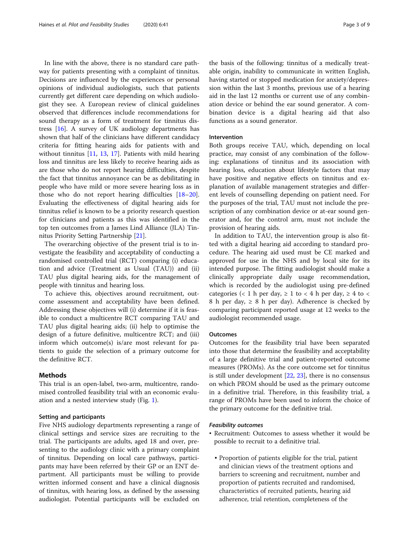In line with the above, there is no standard care pathway for patients presenting with a complaint of tinnitus. Decisions are influenced by the experiences or personal opinions of individual audiologists, such that patients currently get different care depending on which audiologist they see. A European review of clinical guidelines observed that differences include recommendations for sound therapy as a form of treatment for tinnitus distress [\[16](#page-8-0)]. A survey of UK audiology departments has shown that half of the clinicians have different candidacy criteria for fitting hearing aids for patients with and without tinnitus [\[11,](#page-8-0) [13,](#page-8-0) [17](#page-8-0)]. Patients with mild hearing loss and tinnitus are less likely to receive hearing aids as are those who do not report hearing difficulties, despite the fact that tinnitus annoyance can be as debilitating in people who have mild or more severe hearing loss as in those who do not report hearing difficulties [[18](#page-8-0)–[20](#page-8-0)]. Evaluating the effectiveness of digital hearing aids for tinnitus relief is known to be a priority research question for clinicians and patients as this was identified in the top ten outcomes from a James Lind Alliance (JLA) Tinnitus Priority Setting Partnership [\[21\]](#page-8-0).

The overarching objective of the present trial is to investigate the feasibility and acceptability of conducting a randomised controlled trial (RCT) comparing (i) education and advice (Treatment as Usual (TAU)) and (ii) TAU plus digital hearing aids, for the management of people with tinnitus and hearing loss.

To achieve this, objectives around recruitment, outcome assessment and acceptability have been defined. Addressing these objectives will (i) determine if it is feasible to conduct a multicentre RCT comparing TAU and TAU plus digital hearing aids; (ii) help to optimise the design of a future definitive, multicentre RCT; and (iii) inform which outcome(s) is/are most relevant for patients to guide the selection of a primary outcome for the definitive RCT.

# **Methods**

This trial is an open-label, two-arm, multicentre, randomised controlled feasibility trial with an economic evaluation and a nested interview study (Fig. [1\)](#page-3-0).

#### Setting and participants

Five NHS audiology departments representing a range of clinical settings and service sizes are recruiting to the trial. The participants are adults, aged 18 and over, presenting to the audiology clinic with a primary complaint of tinnitus. Depending on local care pathways, participants may have been referred by their GP or an ENT department. All participants must be willing to provide written informed consent and have a clinical diagnosis of tinnitus, with hearing loss, as defined by the assessing audiologist. Potential participants will be excluded on the basis of the following: tinnitus of a medically treatable origin, inability to communicate in written English, having started or stopped medication for anxiety/depression within the last 3 months, previous use of a hearing aid in the last 12 months or current use of any combination device or behind the ear sound generator. A combination device is a digital hearing aid that also functions as a sound generator.

## Intervention

Both groups receive TAU, which, depending on local practice, may consist of any combination of the following: explanations of tinnitus and its association with hearing loss, education about lifestyle factors that may have positive and negative effects on tinnitus and explanation of available management strategies and different levels of counselling depending on patient need. For the purposes of the trial, TAU must not include the prescription of any combination device or at-ear sound generator and, for the control arm, must not include the provision of hearing aids.

In addition to TAU, the intervention group is also fitted with a digital hearing aid according to standard procedure. The hearing aid used must be CE marked and approved for use in the NHS and by local site for its intended purpose. The fitting audiologist should make a clinically appropriate daily usage recommendation, which is recorded by the audiologist using pre-defined categories (< 1 h per day,  $\geq$  1 to < 4 h per day,  $\geq$  4 to < 8 h per day,  $\geq$  8 h per day). Adherence is checked by comparing participant reported usage at 12 weeks to the audiologist recommended usage.

#### **Outcomes**

Outcomes for the feasibility trial have been separated into those that determine the feasibility and acceptability of a large definitive trial and patient-reported outcome measures (PROMs). As the core outcome set for tinnitus is still under development [\[22](#page-8-0), [23](#page-8-0)], there is no consensus on which PROM should be used as the primary outcome in a definitive trial. Therefore, in this feasibility trial, a range of PROMs have been used to inform the choice of the primary outcome for the definitive trial.

#### Feasibility outcomes

- Recruitment: Outcomes to assess whether it would be possible to recruit to a definitive trial.
	- Proportion of patients eligible for the trial, patient and clinician views of the treatment options and barriers to screening and recruitment, number and proportion of patients recruited and randomised, characteristics of recruited patients, hearing aid adherence, trial retention, completeness of the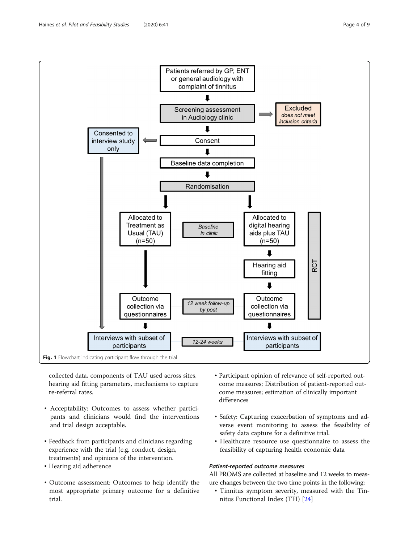<span id="page-3-0"></span>

collected data, components of TAU used across sites, hearing aid fitting parameters, mechanisms to capture re-referral rates.

- Acceptability: Outcomes to assess whether participants and clinicians would find the interventions and trial design acceptable.
- Feedback from participants and clinicians regarding experience with the trial (e.g. conduct, design, treatments) and opinions of the intervention.
- Hearing aid adherence
- Outcome assessment: Outcomes to help identify the most appropriate primary outcome for a definitive trial.
- Participant opinion of relevance of self-reported outcome measures; Distribution of patient-reported outcome measures; estimation of clinically important differences
- Safety: Capturing exacerbation of symptoms and adverse event monitoring to assess the feasibility of safety data capture for a definitive trial.
- Healthcare resource use questionnaire to assess the feasibility of capturing health economic data

# Patient-reported outcome measures

All PROMS are collected at baseline and 12 weeks to measure changes between the two time points in the following:

• Tinnitus symptom severity, measured with the Tinnitus Functional Index (TFI) [\[24\]](#page-8-0)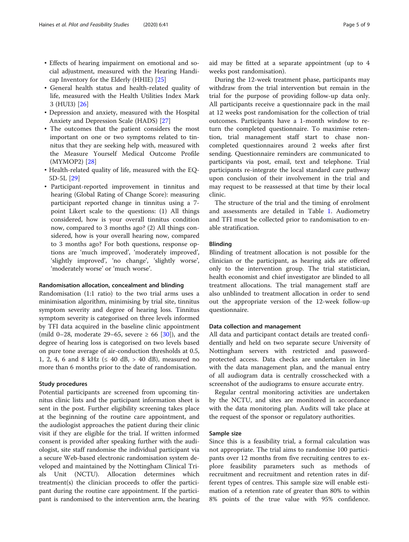- Effects of hearing impairment on emotional and social adjustment, measured with the Hearing Handicap Inventory for the Elderly (HHIE) [\[25](#page-8-0)]
- General health status and health-related quality of life, measured with the Health Utilities Index Mark 3 (HUI3) [\[26](#page-8-0)]
- Depression and anxiety, measured with the Hospital Anxiety and Depression Scale (HADS) [[27\]](#page-8-0)
- The outcomes that the patient considers the most important on one or two symptoms related to tinnitus that they are seeking help with, measured with the Measure Yourself Medical Outcome Profile (MYMOP2) [[28\]](#page-8-0)
- Health-related quality of life, measured with the EQ-5D-5L [[29](#page-8-0)]
- Participant-reported improvement in tinnitus and hearing (Global Rating of Change Score): measuring participant reported change in tinnitus using a 7 point Likert scale to the questions: (1) All things considered, how is your overall tinnitus condition now, compared to 3 months ago? (2) All things considered, how is your overall hearing now, compared to 3 months ago? For both questions, response options are 'much improved', 'moderately improved', 'slightly improved', 'no change', 'slightly worse', 'moderately worse' or 'much worse'.

## Randomisation allocation, concealment and blinding

Randomisation (1:1 ratio) to the two trial arms uses a minimisation algorithm, minimising by trial site, tinnitus symptom severity and degree of hearing loss. Tinnitus symptom severity is categorised on three levels informed by TFI data acquired in the baseline clinic appointment (mild 0–28, moderate 29–65, severe  $\geq$  66 [[30\]](#page-8-0)), and the degree of hearing loss is categorised on two levels based on pure tone average of air-conduction thresholds at 0.5, 1, 2, 4, 6 and 8 kHz ( $\leq$  40 dB,  $>$  40 dB), measured no more than 6 months prior to the date of randomisation.

## Study procedures

Potential participants are screened from upcoming tinnitus clinic lists and the participant information sheet is sent in the post. Further eligibility screening takes place at the beginning of the routine care appointment, and the audiologist approaches the patient during their clinic visit if they are eligible for the trial. If written informed consent is provided after speaking further with the audiologist, site staff randomise the individual participant via a secure Web-based electronic randomisation system developed and maintained by the Nottingham Clinical Trials Unit (NCTU). Allocation determines which treatment(s) the clinician proceeds to offer the participant during the routine care appointment. If the participant is randomised to the intervention arm, the hearing aid may be fitted at a separate appointment (up to 4 weeks post randomisation).

During the 12-week treatment phase, participants may withdraw from the trial intervention but remain in the trial for the purpose of providing follow-up data only. All participants receive a questionnaire pack in the mail at 12 weeks post randomisation for the collection of trial outcomes. Participants have a 1-month window to return the completed questionnaire. To maximise retention, trial management staff start to chase noncompleted questionnaires around 2 weeks after first sending. Questionnaire reminders are communicated to participants via post, email, text and telephone. Trial participants re-integrate the local standard care pathway upon conclusion of their involvement in the trial and may request to be reassessed at that time by their local clinic.

The structure of the trial and the timing of enrolment and assessments are detailed in Table [1.](#page-5-0) Audiometry and TFI must be collected prior to randomisation to enable stratification.

## Blinding

Blinding of treatment allocation is not possible for the clinician or the participant, as hearing aids are offered only to the intervention group. The trial statistician, health economist and chief investigator are blinded to all treatment allocations. The trial management staff are also unblinded to treatment allocation in order to send out the appropriate version of the 12-week follow-up questionnaire.

#### Data collection and management

All data and participant contact details are treated confidentially and held on two separate secure University of Nottingham servers with restricted and passwordprotected access. Data checks are undertaken in line with the data management plan, and the manual entry of all audiogram data is centrally crosschecked with a screenshot of the audiograms to ensure accurate entry.

Regular central monitoring activities are undertaken by the NCTU, and sites are monitored in accordance with the data monitoring plan. Audits will take place at the request of the sponsor or regulatory authorities.

## Sample size

Since this is a feasibility trial, a formal calculation was not appropriate. The trial aims to randomise 100 participants over 12 months from five recruiting centres to explore feasibility parameters such as methods of recruitment and recruitment and retention rates in different types of centres. This sample size will enable estimation of a retention rate of greater than 80% to within 8% points of the true value with 95% confidence.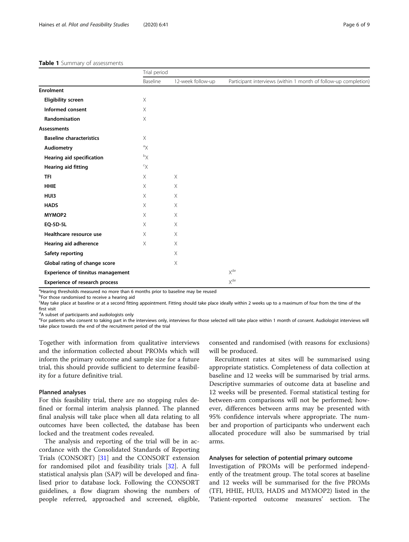## <span id="page-5-0"></span>Table 1 Summary of assessments

|                                          | Trial period        |                   |                                                                 |
|------------------------------------------|---------------------|-------------------|-----------------------------------------------------------------|
|                                          | Baseline            | 12-week follow-up | Participant interviews (within 1 month of follow-up completion) |
| <b>Enrolment</b>                         |                     |                   |                                                                 |
| <b>Eligibility screen</b>                | X                   |                   |                                                                 |
| Informed consent                         | Χ                   |                   |                                                                 |
| Randomisation                            | $\mathsf X$         |                   |                                                                 |
| <b>Assessments</b>                       |                     |                   |                                                                 |
| <b>Baseline characteristics</b>          | X                   |                   |                                                                 |
| <b>Audiometry</b>                        | ${}^{\rm a} \times$ |                   |                                                                 |
| Hearing aid specification                | $^{\rm b}$ X        |                   |                                                                 |
| <b>Hearing aid fitting</b>               | $\infty$            |                   |                                                                 |
| <b>TFI</b>                               | $\times$            | $\times$          |                                                                 |
| <b>HHIE</b>                              | $\times$            | $\times$          |                                                                 |
| HU <sub>13</sub>                         | $\times$            | $\times$          |                                                                 |
| <b>HADS</b>                              | $\times$            | X                 |                                                                 |
| MYMOP2                                   | X                   | X                 |                                                                 |
| <b>EQ-5D-5L</b>                          | X                   | $\times$          |                                                                 |
| Healthcare resource use                  | $\times$            | $\times$          |                                                                 |
| Hearing aid adherence                    | X                   | $\times$          |                                                                 |
| Safety reporting                         |                     | X                 |                                                                 |
| Global rating of change score            |                     | $\times$          |                                                                 |
| <b>Experience of tinnitus management</b> |                     |                   | X <sup>de</sup>                                                 |
| Experience of research process           |                     |                   | X <sup>de</sup>                                                 |

<sup>a</sup>Hearing thresholds measured no more than 6 months prior to baseline may be reused

<sup>b</sup>For those randomised to receive a hearing aid

c May take place at baseline or at a second fitting appointment. Fitting should take place ideally within 2 weeks up to a maximum of four from the time of the first visit

<sup>d</sup>A subset of participants and audiologists only

eFor patients who consent to taking part in the interviews only, interviews for those selected will take place within 1 month of consent. Audiologist interviews will take place towards the end of the recruitment period of the trial

Together with information from qualitative interviews and the information collected about PROMs which will inform the primary outcome and sample size for a future trial, this should provide sufficient to determine feasibility for a future definitive trial.

## Planned analyses

For this feasibility trial, there are no stopping rules defined or formal interim analysis planned. The planned final analysis will take place when all data relating to all outcomes have been collected, the database has been locked and the treatment codes revealed.

The analysis and reporting of the trial will be in accordance with the Consolidated Standards of Reporting Trials (CONSORT) [[31\]](#page-8-0) and the CONSORT extension for randomised pilot and feasibility trials [\[32](#page-8-0)]. A full statistical analysis plan (SAP) will be developed and finalised prior to database lock. Following the CONSORT guidelines, a flow diagram showing the numbers of people referred, approached and screened, eligible,

consented and randomised (with reasons for exclusions) will be produced.

Recruitment rates at sites will be summarised using appropriate statistics. Completeness of data collection at baseline and 12 weeks will be summarised by trial arms. Descriptive summaries of outcome data at baseline and 12 weeks will be presented. Formal statistical testing for between-arm comparisons will not be performed; however, differences between arms may be presented with 95% confidence intervals where appropriate. The number and proportion of participants who underwent each allocated procedure will also be summarised by trial arms.

## Analyses for selection of potential primary outcome

Investigation of PROMs will be performed independently of the treatment group. The total scores at baseline and 12 weeks will be summarised for the five PROMs (TFI, HHIE, HUI3, HADS and MYMOP2) listed in the 'Patient-reported outcome measures' section. The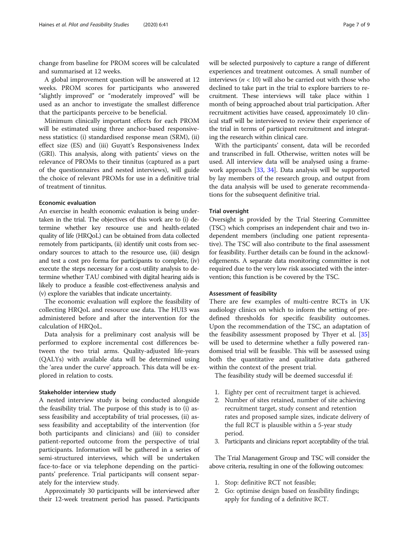change from baseline for PROM scores will be calculated and summarised at 12 weeks.

A global improvement question will be answered at 12 weeks. PROM scores for participants who answered "slightly improved" or "moderately improved" will be used as an anchor to investigate the smallest difference that the participants perceive to be beneficial.

Minimum clinically important effects for each PROM will be estimated using three anchor-based responsiveness statistics: (i) standardised response mean (SRM), (ii) effect size (ES) and (iii) Guyatt's Responsiveness Index (GRI). This analysis, along with patients' views on the relevance of PROMs to their tinnitus (captured as a part of the questionnaires and nested interviews), will guide the choice of relevant PROMs for use in a definitive trial of treatment of tinnitus.

# Economic evaluation

An exercise in health economic evaluation is being undertaken in the trial. The objectives of this work are to (i) determine whether key resource use and health-related quality of life (HRQoL) can be obtained from data collected remotely from participants, (ii) identify unit costs from secondary sources to attach to the resource use, (iii) design and test a cost pro forma for participants to complete, (iv) execute the steps necessary for a cost-utility analysis to determine whether TAU combined with digital hearing aids is likely to produce a feasible cost-effectiveness analysis and (v) explore the variables that indicate uncertainty.

The economic evaluation will explore the feasibility of collecting HRQoL and resource use data. The HUI3 was administered before and after the intervention for the calculation of HRQoL.

Data analysis for a preliminary cost analysis will be performed to explore incremental cost differences between the two trial arms. Quality-adjusted life-years (QALYs) with available data will be determined using the 'area under the curve' approach. This data will be explored in relation to costs.

## Stakeholder interview study

A nested interview study is being conducted alongside the feasibility trial. The purpose of this study is to (i) assess feasibility and acceptability of trial processes, (ii) assess feasibility and acceptability of the intervention (for both participants and clinicians) and (iii) to consider patient-reported outcome from the perspective of trial participants. Information will be gathered in a series of semi-structured interviews, which will be undertaken face-to-face or via telephone depending on the participants' preference. Trial participants will consent separately for the interview study.

Approximately 30 participants will be interviewed after their 12-week treatment period has passed. Participants will be selected purposively to capture a range of different experiences and treatment outcomes. A small number of interviews ( $n < 10$ ) will also be carried out with those who declined to take part in the trial to explore barriers to recruitment. These interviews will take place within 1 month of being approached about trial participation. After recruitment activities have ceased, approximately 10 clinical staff will be interviewed to review their experience of the trial in terms of participant recruitment and integrating the research within clinical care.

With the participants' consent, data will be recorded and transcribed in full. Otherwise, written notes will be used. All interview data will be analysed using a framework approach [[33](#page-8-0), [34](#page-8-0)]. Data analysis will be supported by lay members of the research group, and output from the data analysis will be used to generate recommendations for the subsequent definitive trial.

## Trial oversight

Oversight is provided by the Trial Steering Committee (TSC) which comprises an independent chair and two independent members (including one patient representative). The TSC will also contribute to the final assessment for feasibility. Further details can be found in the acknowledgements. A separate data monitoring committee is not required due to the very low risk associated with the intervention; this function is be covered by the TSC.

## Assessment of feasibility

There are few examples of multi-centre RCTs in UK audiology clinics on which to inform the setting of predefined thresholds for specific feasibility outcomes. Upon the recommendation of the TSC, an adaptation of the feasibility assessment proposed by Thyer et al. [[35](#page-8-0)] will be used to determine whether a fully powered randomised trial will be feasible. This will be assessed using both the quantitative and qualitative data gathered within the context of the present trial.

The feasibility study will be deemed successful if:

- 1. Eighty per cent of recruitment target is achieved.
- 2. Number of sites retained, number of site achieving recruitment target, study consent and retention rates and proposed sample sizes, indicate delivery of the full RCT is plausible within a 5-year study period.
- 3. Participants and clinicians report acceptability of the trial.

The Trial Management Group and TSC will consider the above criteria, resulting in one of the following outcomes:

- 1. Stop: definitive RCT not feasible;
- 2. Go: optimise design based on feasibility findings; apply for funding of a definitive RCT.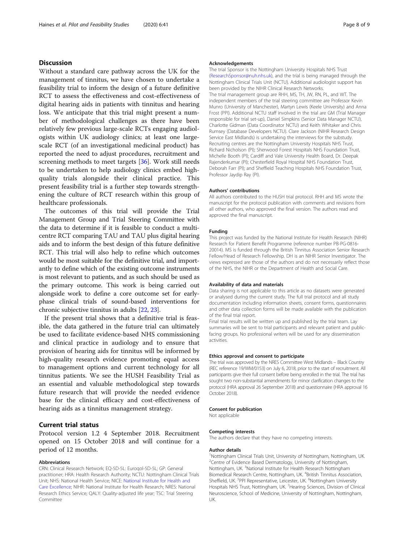# **Discussion**

Without a standard care pathway across the UK for the management of tinnitus, we have chosen to undertake a feasibility trial to inform the design of a future definitive RCT to assess the effectiveness and cost-effectiveness of digital hearing aids in patients with tinnitus and hearing loss. We anticipate that this trial might present a number of methodological challenges as there have been relatively few previous large-scale RCTs engaging audiologists within UK audiology clinics; at least one largescale RCT (of an investigational medicinal product) has reported the need to adjust procedures, recruitment and screening methods to meet targets [[36\]](#page-8-0). Work still needs to be undertaken to help audiology clinics embed highquality trials alongside their clinical practice. This present feasibility trial is a further step towards strengthening the culture of RCT research within this group of healthcare professionals.

The outcomes of this trial will provide the Trial Management Group and Trial Steering Committee with the data to determine if it is feasible to conduct a multicentre RCT comparing TAU and TAU plus digital hearing aids and to inform the best design of this future definitive RCT. This trial will also help to refine which outcomes would be most suitable for the definitive trial, and importantly to define which of the existing outcome instruments is most relevant to patients, and as such should be used as the primary outcome. This work is being carried out alongside work to define a core outcome set for earlyphase clinical trials of sound-based interventions for chronic subjective tinnitus in adults [[22](#page-8-0), [23\]](#page-8-0).

If the present trial shows that a definitive trial is feasible, the data gathered in the future trial can ultimately be used to facilitate evidence-based NHS commissioning and clinical practice in audiology and to ensure that provision of hearing aids for tinnitus will be informed by high-quality research evidence promoting equal access to management options and current technology for all tinnitus patients. We see the HUSH Feasibility Trial as an essential and valuable methodological step towards future research that will provide the needed evidence base for the clinical efficacy and cost-effectiveness of hearing aids as a tinnitus management strategy.

## Current trial status

Protocol version 1.2 4 September 2018. Recruitment opened on 15 October 2018 and will continue for a period of 12 months.

#### Abbreviations

CRN: Clinical Research Network; EQ-5D-5L: Euroqol-5D-5L; GP: General practitioner; HRA: Health Research Authority; NCTU: Nottingham Clinical Trials Unit; NHS: National Health Service; NICE: [National Institute for Health and](https://www.nice.org.uk/) [Care Excellence](https://www.nice.org.uk/); NIHR: National Institute for Health Research; NRES: National Research Ethics Service; QALY: Quality-adjusted life year; TSC: Trial Steering Committee

#### Acknowledgements

The trial Sponsor is the Nottingham University Hospitals NHS Trust ([ResearchSponsor@nuh.nhs.uk](mailto:ResearchSponsor@nuh.nhs.uk)), and the trial is being managed through the Nottingham Clinical Trials Unit (NCTU). Additional audiologist support has been provided by the NIHR Clinical Research Networks. The trial management group are RHH, MS, TH, JW, RN, PL, and WT. The independent members of the trial steering committee are Professor Kevin Munro (University of Manchester), Martyn Lewis (Keele University) and Anna Frost (PPI). Additional NCTU staff involved in the trial are GM (Trial Manager responsible for trial set-up), Daniel Simpkins (Senior Data Manager NCTU), Charlotte Gidman (Data Coordinator NCTU) and Keith Whitaker and Chris Rumsey (Database Developers NCTU). Clare Jackson (NIHR Research Design Service East Midlands) is undertaking the interviews for the substudy. Recruiting centres are the Nottingham University Hospitals NHS Trust, Richard Nicholson (PI); Sherwood Forest Hospitals NHS Foundation Trust, Michelle Booth (PI); Cardiff and Vale University Health Board, Dr. Deepak Rajenderkumar (PI); Chesterfield Royal Hospital NHS Foundation Trust, Deborah Farr (PI); and Sheffield Teaching Hospitals NHS Foundation Trust, Professor Jaydip Ray (PI).

#### Authors' contributions

All authors contributed to the HUSH trial protocol. RHH and MS wrote the manuscript for the protocol publication with comments and revisions from all other authors, who approved the final version. The authors read and approved the final manuscript.

#### Funding

This project was funded by the National Institute for Health Research (NIHR) Research for Patient Benefit Programme (reference number PB-PG-0816- 20014). MS is funded through the British Tinnitus Association Senior Research Fellow/Head of Research Fellowship. DH is an NIHR Senior Investigator. The views expressed are those of the authors and do not necessarily reflect those of the NHS, the NIHR or the Department of Health and Social Care.

#### Availability of data and materials

Data sharing is not applicable to this article as no datasets were generated or analysed during the current study. The full trial protocol and all study documentation including information sheets, consent forms, questionnaires and other data collection forms will be made available with the publication of the final trial report.

Final trial results will be written up and published by the trial team. Lay summaries will be sent to trial participants and relevant patient and publicfacing groups. No professional writers will be used for any dissemination activities.

#### Ethics approval and consent to participate

The trial was approved by the NRES Committee West Midlands – Black Country (REC reference 19/WM/0153) on July 6, 2018, prior to the start of recruitment. All participants give their full consent before being enrolled in the trial. The trial has sought two non-substantial amendments for minor clarification changes to the protocol (HRA approval 26 September 2018) and questionnaire (HRA approval 16 October 2018).

#### Consent for publication

Not applicable

#### Competing interests

The authors declare that they have no competing interests.

#### Author details

<sup>1</sup>Nottingham Clinical Trials Unit, University of Nottingham, Nottingham, UK <sup>2</sup> Centre of Evidence Based Dermatology, University of Nottingham Nottingham, UK.<sup>3</sup>National Institute for Health Research Nottingham Biomedical Research Centre, Nottingham, UK. <sup>4</sup>British Tinnitus Association, Sheffield, UK. <sup>5</sup>PPI Representative, Leicester, UK. <sup>6</sup>Nottingham University Hospitals NHS Trust, Nottingham, UK. <sup>7</sup> Hearing Sciences, Division of Clinical Neuroscience, School of Medicine, University of Nottingham, Nottingham, UK.